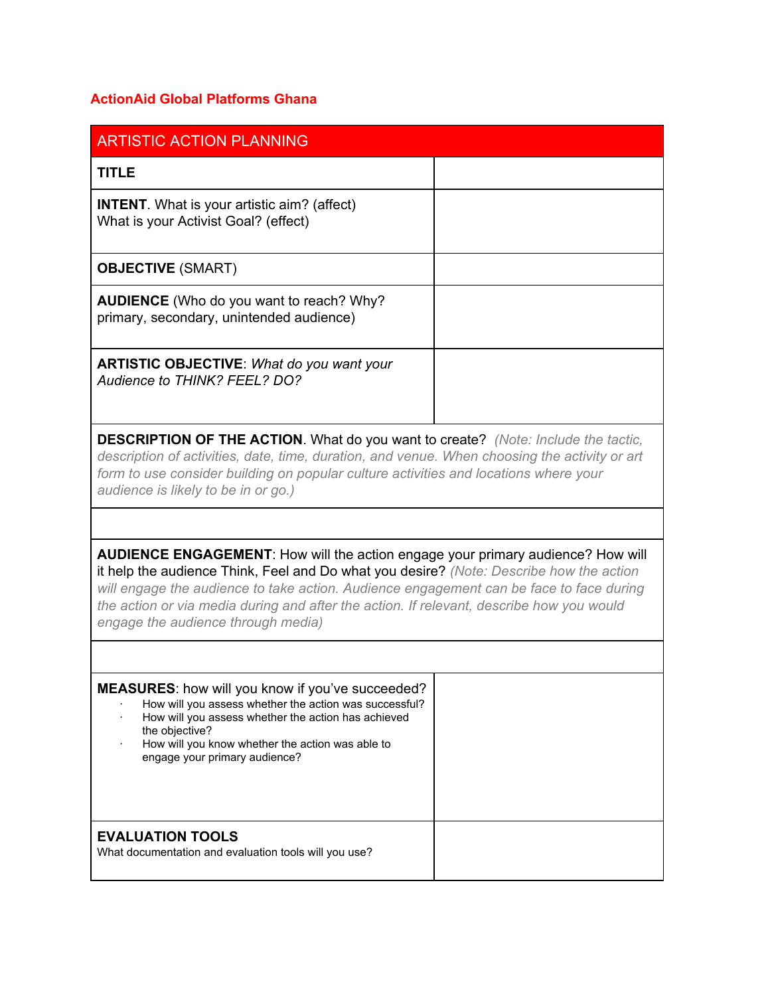## **ActionAid Global Platforms Ghana**

| <b>ARTISTIC ACTION PLANNING</b>                                                                                                                                                                                                                                                                                                                                                                         |  |  |  |
|---------------------------------------------------------------------------------------------------------------------------------------------------------------------------------------------------------------------------------------------------------------------------------------------------------------------------------------------------------------------------------------------------------|--|--|--|
| <b>TITLE</b>                                                                                                                                                                                                                                                                                                                                                                                            |  |  |  |
| <b>INTENT.</b> What is your artistic aim? (affect)<br>What is your Activist Goal? (effect)                                                                                                                                                                                                                                                                                                              |  |  |  |
| <b>OBJECTIVE (SMART)</b>                                                                                                                                                                                                                                                                                                                                                                                |  |  |  |
| <b>AUDIENCE</b> (Who do you want to reach? Why?<br>primary, secondary, unintended audience)                                                                                                                                                                                                                                                                                                             |  |  |  |
| <b>ARTISTIC OBJECTIVE:</b> What do you want your<br><b>Audience to THINK? FEEL? DO?</b>                                                                                                                                                                                                                                                                                                                 |  |  |  |
| <b>DESCRIPTION OF THE ACTION.</b> What do you want to create? (Note: Include the tactic,<br>description of activities, date, time, duration, and venue. When choosing the activity or art<br>form to use consider building on popular culture activities and locations where your<br>audience is likely to be in or go.)                                                                                |  |  |  |
|                                                                                                                                                                                                                                                                                                                                                                                                         |  |  |  |
| AUDIENCE ENGAGEMENT: How will the action engage your primary audience? How will<br>it help the audience Think, Feel and Do what you desire? (Note: Describe how the action<br>will engage the audience to take action. Audience engagement can be face to face during<br>the action or via media during and after the action. If relevant, describe how you would<br>engage the audience through media) |  |  |  |
|                                                                                                                                                                                                                                                                                                                                                                                                         |  |  |  |
| MEASURES: how will you know if you've succeeded?<br>How will you assess whether the action was successful?<br>How will you assess whether the action has achieved<br>the objective?<br>How will you know whether the action was able to<br>engage your primary audience?                                                                                                                                |  |  |  |
| <b>EVALUATION TOOLS</b><br>What documentation and evaluation tools will you use?                                                                                                                                                                                                                                                                                                                        |  |  |  |